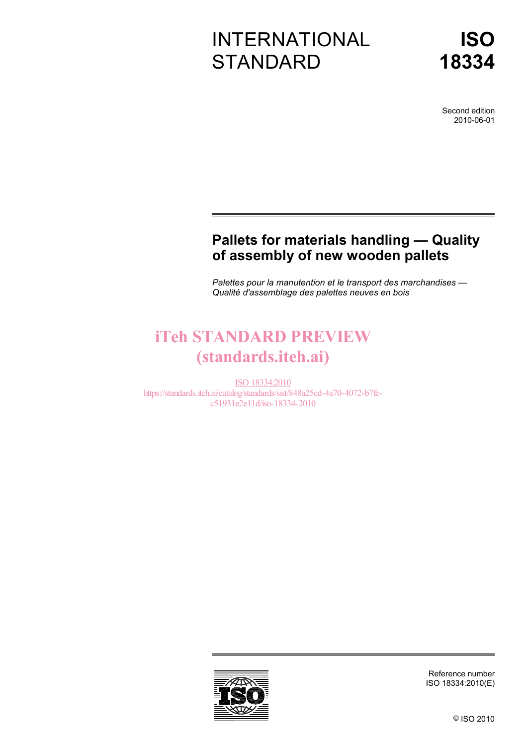# INTERNATIONAL **STANDARD**

Second edition 2010-06-01

### **Pallets for materials handling — Quality of assembly of new wooden pallets**

*Palettes pour la manutention et le transport des marchandises — Qualité d'assemblage des palettes neuves en bois* 

# iTeh STANDARD PREVIEW (standards.iteh.ai)

ISO 18334:2010 https://standards.iteh.ai/catalog/standards/sist/848a25cd-4a70-4072-b7fcc51931e2e11d/iso-18334-2010



Reference number ISO 18334:2010(E)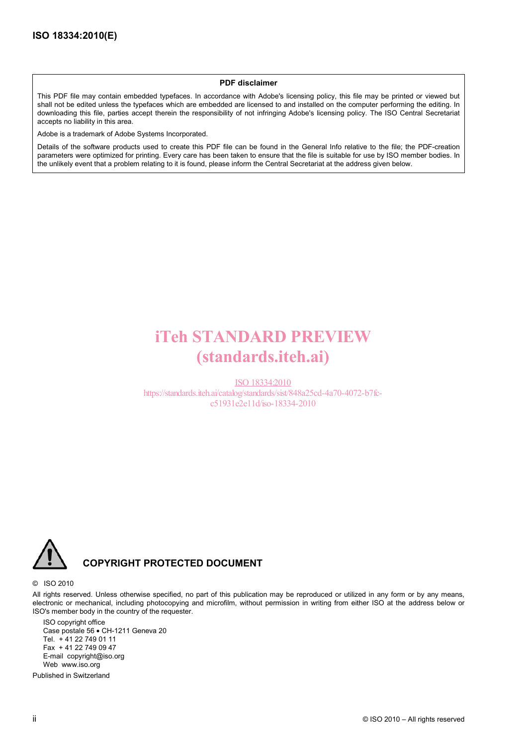#### **PDF disclaimer**

This PDF file may contain embedded typefaces. In accordance with Adobe's licensing policy, this file may be printed or viewed but shall not be edited unless the typefaces which are embedded are licensed to and installed on the computer performing the editing. In downloading this file, parties accept therein the responsibility of not infringing Adobe's licensing policy. The ISO Central Secretariat accepts no liability in this area.

Adobe is a trademark of Adobe Systems Incorporated.

Details of the software products used to create this PDF file can be found in the General Info relative to the file; the PDF-creation parameters were optimized for printing. Every care has been taken to ensure that the file is suitable for use by ISO member bodies. In the unlikely event that a problem relating to it is found, please inform the Central Secretariat at the address given below.

### iTeh STANDARD PREVIEW (standards.iteh.ai)

ISO 18334:2010 https://standards.iteh.ai/catalog/standards/sist/848a25cd-4a70-4072-b7fcc51931e2e11d/iso-18334-2010



#### **COPYRIGHT PROTECTED DOCUMENT**

#### © ISO 2010

All rights reserved. Unless otherwise specified, no part of this publication may be reproduced or utilized in any form or by any means, electronic or mechanical, including photocopying and microfilm, without permission in writing from either ISO at the address below or ISO's member body in the country of the requester.

ISO copyright office Case postale 56 • CH-1211 Geneva 20 Tel. + 41 22 749 01 11 Fax + 41 22 749 09 47 E-mail copyright@iso.org Web www.iso.org

Published in Switzerland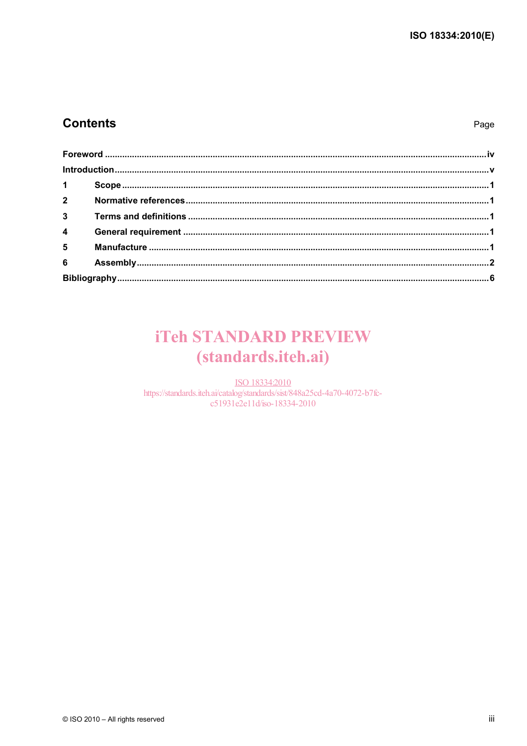### **Contents**

### Page

# **iTeh STANDARD PREVIEW** (standards.iteh.ai)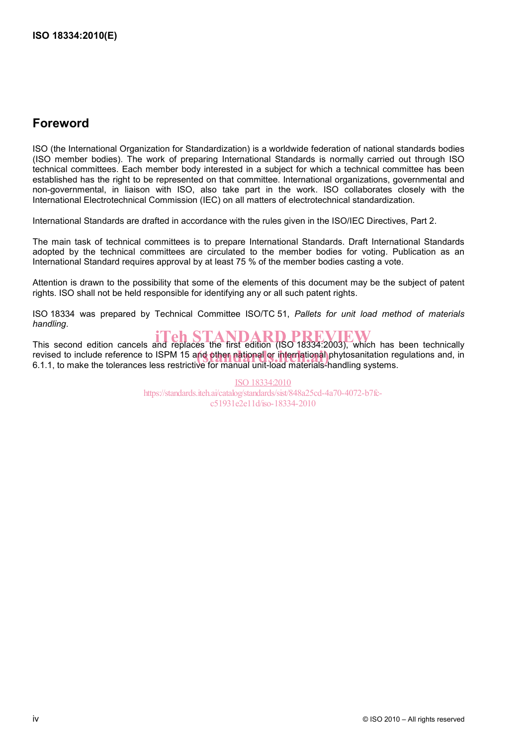### **Foreword**

ISO (the International Organization for Standardization) is a worldwide federation of national standards bodies (ISO member bodies). The work of preparing International Standards is normally carried out through ISO technical committees. Each member body interested in a subject for which a technical committee has been established has the right to be represented on that committee. International organizations, governmental and non-governmental, in liaison with ISO, also take part in the work. ISO collaborates closely with the International Electrotechnical Commission (IEC) on all matters of electrotechnical standardization.

International Standards are drafted in accordance with the rules given in the ISO/IEC Directives, Part 2.

The main task of technical committees is to prepare International Standards. Draft International Standards adopted by the technical committees are circulated to the member bodies for voting. Publication as an International Standard requires approval by at least 75 % of the member bodies casting a vote.

Attention is drawn to the possibility that some of the elements of this document may be the subject of patent rights. ISO shall not be held responsible for identifying any or all such patent rights.

ISO 18334 was prepared by Technical Committee ISO/TC 51, *Pallets for unit load method of materials handling*.

This second edition cancels and replaces the first edition (ISO 18334:2003), which has been technically revised to include reference to ISPM 15 and other national or international phytosanitation regulations and, in<br>6.1.1. to make the tolerances less restrictive for manual unit-load materials-handling systems. 6.1.1, to make the tolerances less restrictive for manual unit-load materials-handling systems.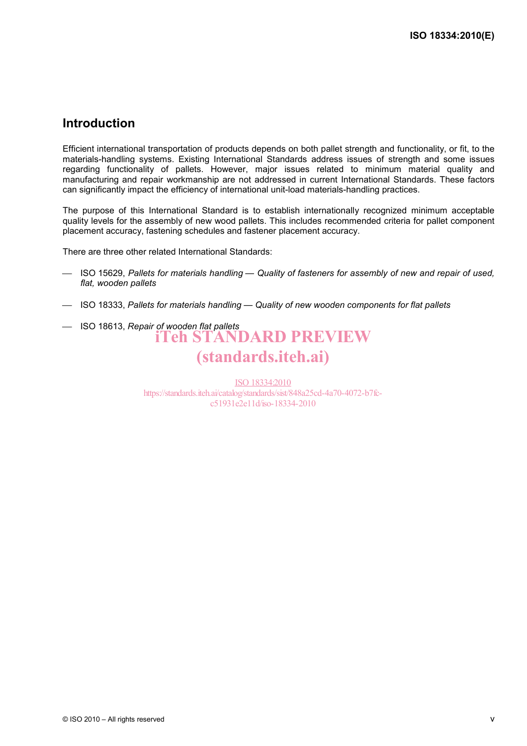#### **Introduction**

Efficient international transportation of products depends on both pallet strength and functionality, or fit, to the materials-handling systems. Existing International Standards address issues of strength and some issues regarding functionality of pallets. However, major issues related to minimum material quality and manufacturing and repair workmanship are not addressed in current International Standards. These factors can significantly impact the efficiency of international unit-load materials-handling practices.

The purpose of this International Standard is to establish internationally recognized minimum acceptable quality levels for the assembly of new wood pallets. This includes recommended criteria for pallet component placement accuracy, fastening schedules and fastener placement accuracy.

There are three other related International Standards:

- $-$  ISO 15629, *Pallets for materials handling Quality of fasteners for assembly of new and repair of used, flat, wooden pallets*
- ⎯ ISO 18333, *Pallets for materials handling Quality of new wooden components for flat pallets*
- ⎯ ISO 18613, *Repair of wooden flat pallets* iTeh STANDARD PREVIEW (standards.iteh.ai)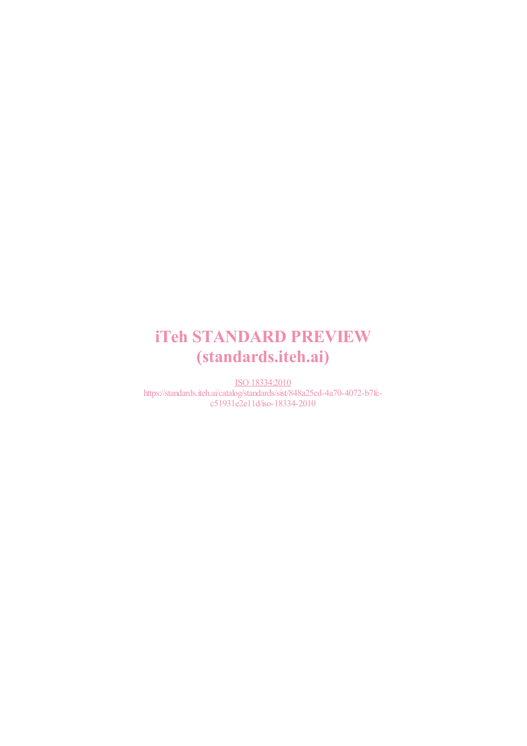# iTeh STANDARD PREVIEW (standards.iteh.ai)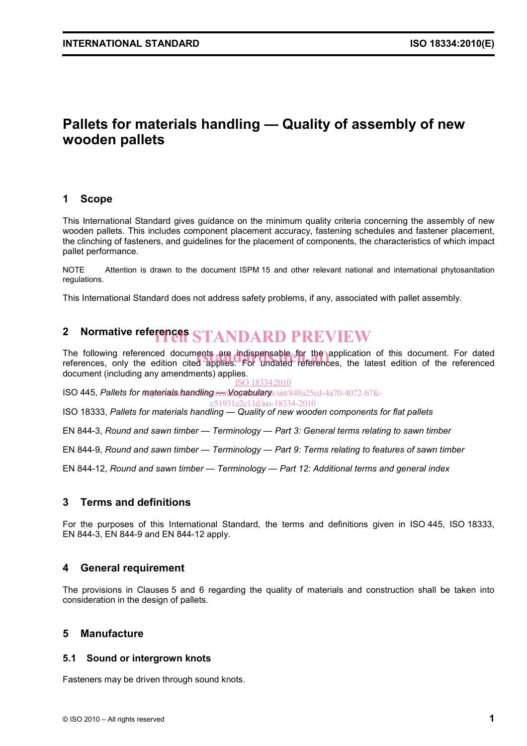### **Pallets for materials handling — Quality of assembly of new wooden pallets**

#### **1 Scope**

This International Standard gives guidance on the minimum quality criteria concerning the assembly of new wooden pallets. This includes component placement accuracy, fastening schedules and fastener placement, the clinching of fasteners, and guidelines for the placement of components, the characteristics of which impact pallet performance.

NOTE Attention is drawn to the document ISPM 15 and other relevant national and international phytosanitation regulations.

This International Standard does not address safety problems, if any, associated with pallet assembly.

# 2 Normative references STANDARD PREVIEW

The following referenced documents are indispensable for the application of this document. For dated The following referenced documents are indispensable for the application of this document. For dated<br>references, only the edition cited applies. For undated references, the latest edition of the referenced document (including any amendments) applies. ISO 18334:2010

ISO 445, *Pallets for materials handling i<del>leat</del> Mogabularys/sist/848a25cd-4a70-4072-b7fc-*

c51931e2e11d/iso-18334-2010

ISO 18333, *Pallets for materials handling — Quality of new wooden components for flat pallets*

EN 844-3, *Round and sawn timber — Terminology — Part 3: General terms relating to sawn timber*

EN 844-9, *Round and sawn timber — Terminology — Part 9: Terms relating to features of sawn timber*

EN 844-12, *Round and sawn timber — Terminology — Part 12: Additional terms and general index*

#### **3 Terms and definitions**

For the purposes of this International Standard, the terms and definitions given in ISO 445, ISO 18333, EN 844-3, EN 844-9 and EN 844-12 apply.

#### **4 General requirement**

The provisions in Clauses 5 and 6 regarding the quality of materials and construction shall be taken into consideration in the design of pallets.

#### **5 Manufacture**

#### **5.1 Sound or intergrown knots**

Fasteners may be driven through sound knots.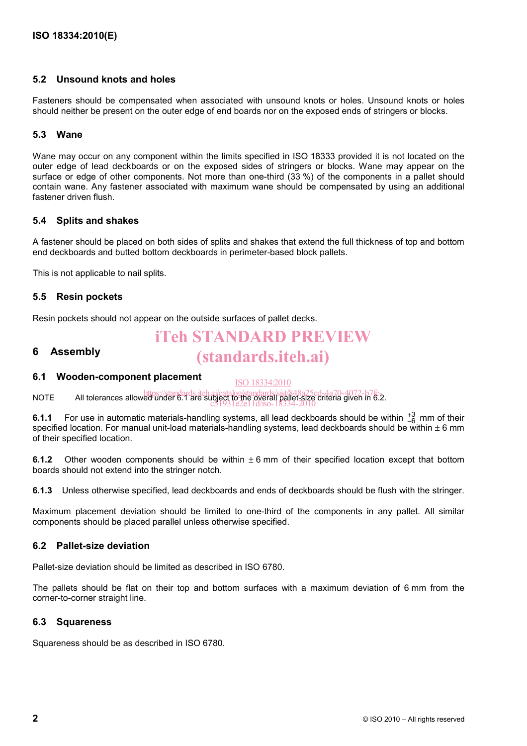#### **5.2 Unsound knots and holes**

Fasteners should be compensated when associated with unsound knots or holes. Unsound knots or holes should neither be present on the outer edge of end boards nor on the exposed ends of stringers or blocks.

#### **5.3 Wane**

Wane may occur on any component within the limits specified in ISO 18333 provided it is not located on the outer edge of lead deckboards or on the exposed sides of stringers or blocks. Wane may appear on the surface or edge of other components. Not more than one-third (33 %) of the components in a pallet should contain wane. Any fastener associated with maximum wane should be compensated by using an additional fastener driven flush.

#### **5.4 Splits and shakes**

A fastener should be placed on both sides of splits and shakes that extend the full thickness of top and bottom end deckboards and butted bottom deckboards in perimeter-based block pallets.

This is not applicable to nail splits.

#### **5.5 Resin pockets**

Resin pockets should not appear on the outside surfaces of pallet decks.

### iTeh STANDARD PREVIEW (standards.iteh.ai)

#### **6 Assembly**

#### **6.1 Wooden-component placement**  ISO 18334:2010

https://standards.iteh.ai/catalog/standards/sist/848a25cd-4a70-4072-b7fc-<br>NOTE All tolerances allowed under 6.1 are subject to the overall pallet-size criteria given in 6.2.

**6.1.1** For use in automatic materials-handling systems, all lead deckboards should be within  $_{-6}^{+3}$  mm of their specified location. For manual unit-load materials-handling systems, lead deckboards should be within  $\pm 6$  mm of their specified location.

c51931e2e11d/iso-18334-2010

**6.1.2** Other wooden components should be within  $\pm$  6 mm of their specified location except that bottom boards should not extend into the stringer notch.

**6.1.3** Unless otherwise specified, lead deckboards and ends of deckboards should be flush with the stringer.

Maximum placement deviation should be limited to one-third of the components in any pallet. All similar components should be placed parallel unless otherwise specified.

#### **6.2 Pallet-size deviation**

Pallet-size deviation should be limited as described in ISO 6780.

The pallets should be flat on their top and bottom surfaces with a maximum deviation of 6 mm from the corner-to-corner straight line.

#### **6.3 Squareness**

Squareness should be as described in ISO 6780.